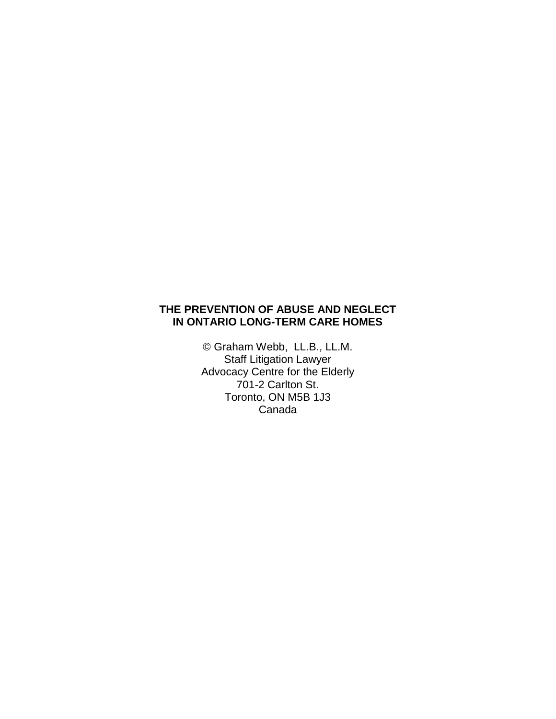# **THE PREVENTION OF ABUSE AND NEGLECT IN ONTARIO LONG-TERM CARE HOMES**

© Graham Webb, LL.B., LL.M. Staff Litigation Lawyer Advocacy Centre for the Elderly 701-2 Carlton St. Toronto, ON M5B 1J3 Canada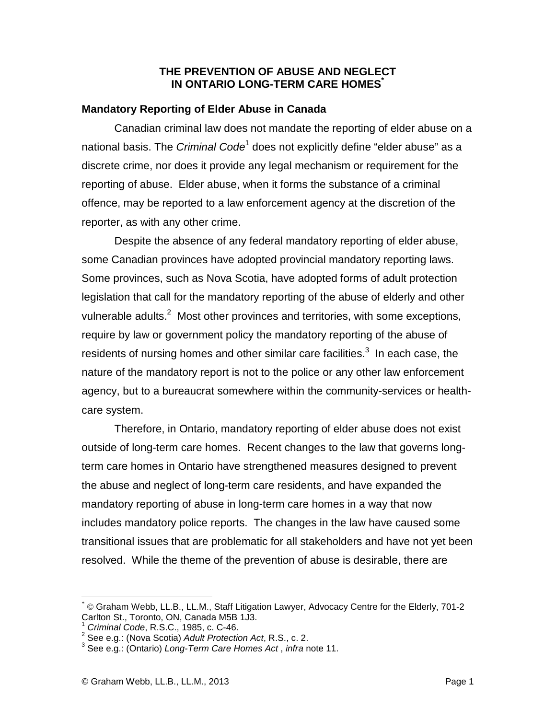#### **THE PREVENTION OF ABUSE AND NEGLECT IN ONTARIO LONG-TERM CARE HOMES\***

## **Mandatory Reporting of Elder Abuse in Canada**

Canadian criminal law does not mandate the reporting of elder abuse on a national basis. The *Criminal Code*<sup>1</sup> does not explicitly define "elder abuse" as a discrete crime, nor does it provide any legal mechanism or requirement for the reporting of abuse. Elder abuse, when it forms the substance of a criminal offence, may be reported to a law enforcement agency at the discretion of the reporter, as with any other crime.

 Despite the absence of any federal mandatory reporting of elder abuse, some Canadian provinces have adopted provincial mandatory reporting laws. Some provinces, such as Nova Scotia, have adopted forms of adult protection legislation that call for the mandatory reporting of the abuse of elderly and other vulnerable adults.<sup>2</sup> Most other provinces and territories, with some exceptions, require by law or government policy the mandatory reporting of the abuse of residents of nursing homes and other similar care facilities. $3$  In each case, the nature of the mandatory report is not to the police or any other law enforcement agency, but to a bureaucrat somewhere within the community-services or healthcare system.

 Therefore, in Ontario, mandatory reporting of elder abuse does not exist outside of long-term care homes. Recent changes to the law that governs longterm care homes in Ontario have strengthened measures designed to prevent the abuse and neglect of long-term care residents, and have expanded the mandatory reporting of abuse in long-term care homes in a way that now includes mandatory police reports. The changes in the law have caused some transitional issues that are problematic for all stakeholders and have not yet been resolved. While the theme of the prevention of abuse is desirable, there are

<u>.</u>

<sup>\*</sup> © Graham Webb, LL.B., LL.M., Staff Litigation Lawyer, Advocacy Centre for the Elderly, 701-2 Carlton St., Toronto, ON, Canada M5B 1J3.

<sup>1</sup> Criminal Code, R.S.C., 1985, c. C-46.

 $2$  See e.g.: (Nova Scotia) Adult Protection Act, R.S., c. 2.

 $3$  See e.g.: (Ontario) Long-Term Care Homes Act, infra note 11.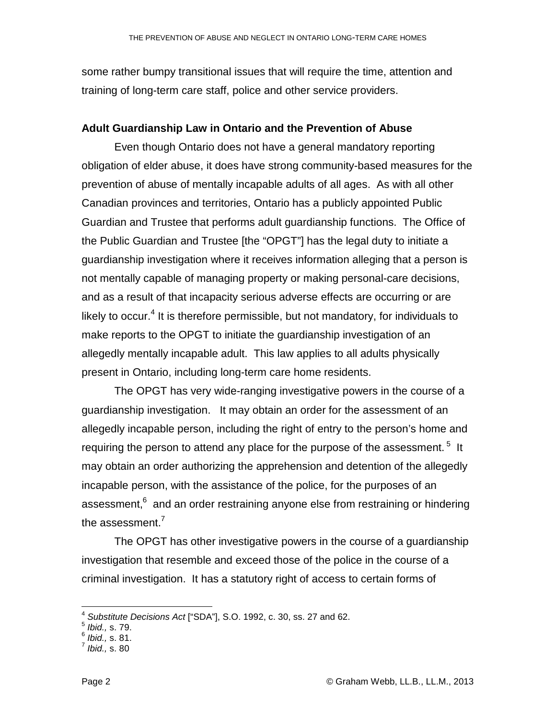some rather bumpy transitional issues that will require the time, attention and training of long-term care staff, police and other service providers.

#### **Adult Guardianship Law in Ontario and the Prevention of Abuse**

 Even though Ontario does not have a general mandatory reporting obligation of elder abuse, it does have strong community-based measures for the prevention of abuse of mentally incapable adults of all ages. As with all other Canadian provinces and territories, Ontario has a publicly appointed Public Guardian and Trustee that performs adult guardianship functions. The Office of the Public Guardian and Trustee [the "OPGT"] has the legal duty to initiate a guardianship investigation where it receives information alleging that a person is not mentally capable of managing property or making personal-care decisions, and as a result of that incapacity serious adverse effects are occurring or are likely to occur.<sup>4</sup> It is therefore permissible, but not mandatory, for individuals to make reports to the OPGT to initiate the guardianship investigation of an allegedly mentally incapable adult. This law applies to all adults physically present in Ontario, including long-term care home residents.

 The OPGT has very wide-ranging investigative powers in the course of a guardianship investigation. It may obtain an order for the assessment of an allegedly incapable person, including the right of entry to the person's home and requiring the person to attend any place for the purpose of the assessment.  $5$  It may obtain an order authorizing the apprehension and detention of the allegedly incapable person, with the assistance of the police, for the purposes of an assessment, $6$  and an order restraining anyone else from restraining or hindering the assessment.<sup>7</sup>

The OPGT has other investigative powers in the course of a guardianship investigation that resemble and exceed those of the police in the course of a criminal investigation. It has a statutory right of access to certain forms of

<sup>&</sup>lt;u>\_</u><br><sup>4</sup> Substitute Decisions Act ["SDA"], S.O. 1992, c. 30, ss. 27 and 62.<br><sup>5</sup> Ibid., s. 79.

 $^6$  *Ibid.,* s. 81.

 $<sup>7</sup>$  Ibid., s. 80</sup>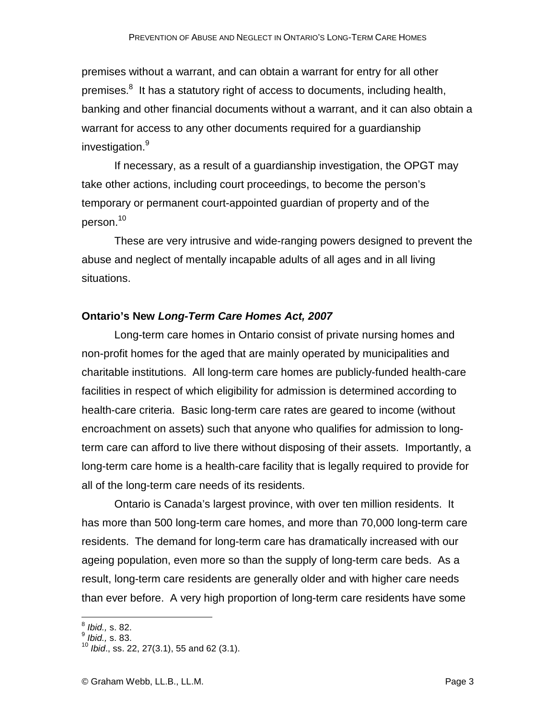premises without a warrant, and can obtain a warrant for entry for all other premises.<sup>8</sup> It has a statutory right of access to documents, including health, banking and other financial documents without a warrant, and it can also obtain a warrant for access to any other documents required for a guardianship investigation.<sup>9</sup>

If necessary, as a result of a guardianship investigation, the OPGT may take other actions, including court proceedings, to become the person's temporary or permanent court-appointed guardian of property and of the person.<sup>10</sup>

These are very intrusive and wide-ranging powers designed to prevent the abuse and neglect of mentally incapable adults of all ages and in all living situations.

# **Ontario's New Long-Term Care Homes Act, 2007**

 Long-term care homes in Ontario consist of private nursing homes and non-profit homes for the aged that are mainly operated by municipalities and charitable institutions. All long-term care homes are publicly-funded health-care facilities in respect of which eligibility for admission is determined according to health-care criteria. Basic long-term care rates are geared to income (without encroachment on assets) such that anyone who qualifies for admission to longterm care can afford to live there without disposing of their assets. Importantly, a long-term care home is a health-care facility that is legally required to provide for all of the long-term care needs of its residents.

Ontario is Canada's largest province, with over ten million residents. It has more than 500 long-term care homes, and more than 70,000 long-term care residents. The demand for long-term care has dramatically increased with our ageing population, even more so than the supply of long-term care beds. As a result, long-term care residents are generally older and with higher care needs than ever before. A very high proportion of long-term care residents have some

 $\frac{1}{8}$  Ibid., s. 82.

 $^9$  Ibid., s. 83.

 $10$  *lbid.*, ss. 22, 27(3.1), 55 and 62 (3.1).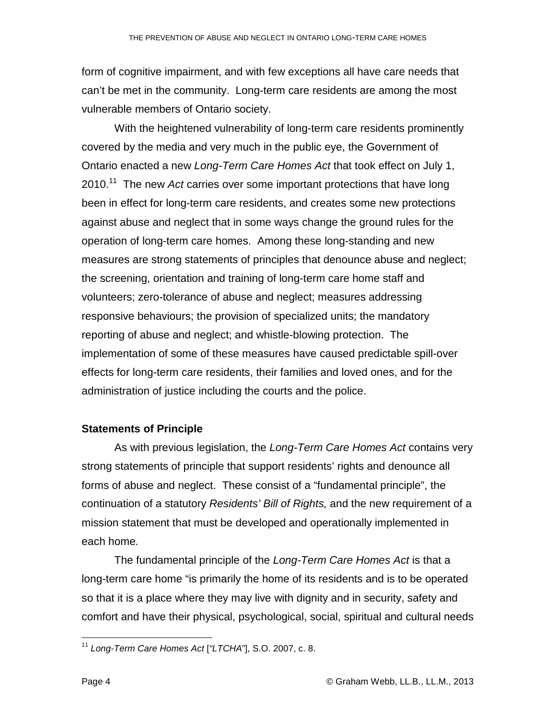form of cognitive impairment, and with few exceptions all have care needs that can't be met in the community. Long-term care residents are among the most vulnerable members of Ontario society.

With the heightened vulnerability of long-term care residents prominently covered by the media and very much in the public eye, the Government of Ontario enacted a new Long-Term Care Homes Act that took effect on July 1,  $2010$ .<sup>11</sup> The new Act carries over some important protections that have long been in effect for long-term care residents, and creates some new protections against abuse and neglect that in some ways change the ground rules for the operation of long-term care homes. Among these long-standing and new measures are strong statements of principles that denounce abuse and neglect; the screening, orientation and training of long-term care home staff and volunteers; zero-tolerance of abuse and neglect; measures addressing responsive behaviours; the provision of specialized units; the mandatory reporting of abuse and neglect; and whistle-blowing protection. The implementation of some of these measures have caused predictable spill-over effects for long-term care residents, their families and loved ones, and for the administration of justice including the courts and the police.

#### **Statements of Principle**

 As with previous legislation, the Long-Term Care Homes Act contains very strong statements of principle that support residents' rights and denounce all forms of abuse and neglect. These consist of a "fundamental principle", the continuation of a statutory Residents' Bill of Rights, and the new requirement of a mission statement that must be developed and operationally implemented in each home.

 The fundamental principle of the Long-Term Care Homes Act is that a long-term care home "is primarily the home of its residents and is to be operated so that it is a place where they may live with dignity and in security, safety and comfort and have their physical, psychological, social, spiritual and cultural needs

 $\overline{a}$ <sup>11</sup> Long-Term Care Homes Act ["LTCHA"], S.O. 2007, c. 8.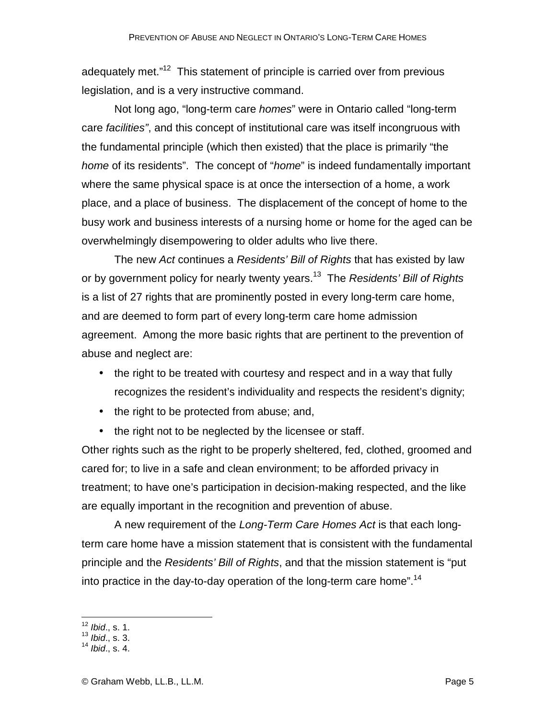adequately met."<sup>12</sup> This statement of principle is carried over from previous legislation, and is a very instructive command.

Not long ago, "long-term care *homes*" were in Ontario called "long-term care facilities", and this concept of institutional care was itself incongruous with the fundamental principle (which then existed) that the place is primarily "the home of its residents". The concept of "home" is indeed fundamentally important where the same physical space is at once the intersection of a home, a work place, and a place of business. The displacement of the concept of home to the busy work and business interests of a nursing home or home for the aged can be overwhelmingly disempowering to older adults who live there.

The new Act continues a Residents' Bill of Rights that has existed by law or by government policy for nearly twenty years.<sup>13</sup> The Residents' Bill of Rights is a list of 27 rights that are prominently posted in every long-term care home, and are deemed to form part of every long-term care home admission agreement. Among the more basic rights that are pertinent to the prevention of abuse and neglect are:

- the right to be treated with courtesy and respect and in a way that fully recognizes the resident's individuality and respects the resident's dignity;
- the right to be protected from abuse; and,
- the right not to be neglected by the licensee or staff.

Other rights such as the right to be properly sheltered, fed, clothed, groomed and cared for; to live in a safe and clean environment; to be afforded privacy in treatment; to have one's participation in decision-making respected, and the like are equally important in the recognition and prevention of abuse.

 A new requirement of the Long-Term Care Homes Act is that each longterm care home have a mission statement that is consistent with the fundamental principle and the Residents' Bill of Rights, and that the mission statement is "put into practice in the day-to-day operation of the long-term care home".<sup>14</sup>

 $\overline{1}$  $12$  *lbid.*, s. 1.

 $13$  *lbid.*, s. 3.

 $14$  *lbid.*, s. 4.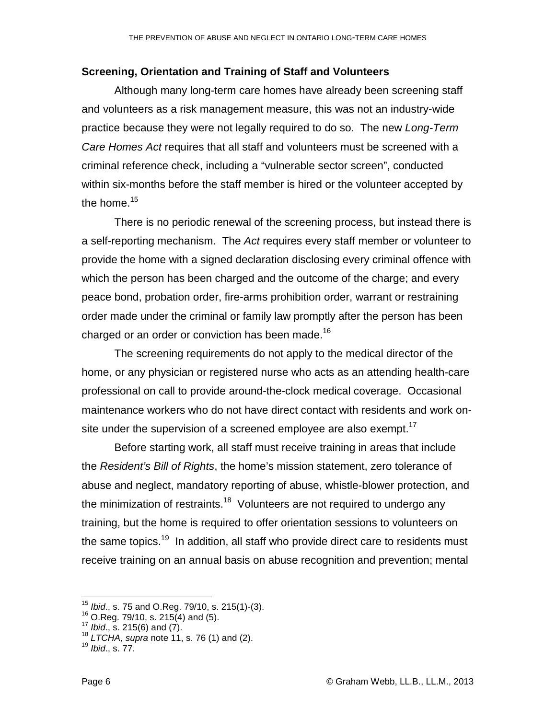## **Screening, Orientation and Training of Staff and Volunteers**

Although many long-term care homes have already been screening staff and volunteers as a risk management measure, this was not an industry-wide practice because they were not legally required to do so. The new Long-Term Care Homes Act requires that all staff and volunteers must be screened with a criminal reference check, including a "vulnerable sector screen", conducted within six-months before the staff member is hired or the volunteer accepted by the home.<sup>15</sup>

There is no periodic renewal of the screening process, but instead there is a self-reporting mechanism. The Act requires every staff member or volunteer to provide the home with a signed declaration disclosing every criminal offence with which the person has been charged and the outcome of the charge; and every peace bond, probation order, fire-arms prohibition order, warrant or restraining order made under the criminal or family law promptly after the person has been charged or an order or conviction has been made.<sup>16</sup>

 The screening requirements do not apply to the medical director of the home, or any physician or registered nurse who acts as an attending health-care professional on call to provide around-the-clock medical coverage. Occasional maintenance workers who do not have direct contact with residents and work onsite under the supervision of a screened employee are also exempt.<sup>17</sup>

 Before starting work, all staff must receive training in areas that include the Resident's Bill of Rights, the home's mission statement, zero tolerance of abuse and neglect, mandatory reporting of abuse, whistle-blower protection, and the minimization of restraints.<sup>18</sup> Volunteers are not required to undergo any training, but the home is required to offer orientation sessions to volunteers on the same topics.<sup>19</sup> In addition, all staff who provide direct care to residents must receive training on an annual basis on abuse recognition and prevention; mental

 $\overline{a}$ 

 $15$  *lbid.*, s. 75 and O.Reg. 79/10, s. 215(1)-(3).

 $16$  O.Reg. 79/10, s. 215(4) and (5).

 $17$  *Ibid.*, s. 215(6) and (7).

 $18$  LTCHA, supra note 11, s. 76 (1) and (2).

<sup>19</sup> Ibid., s. 77.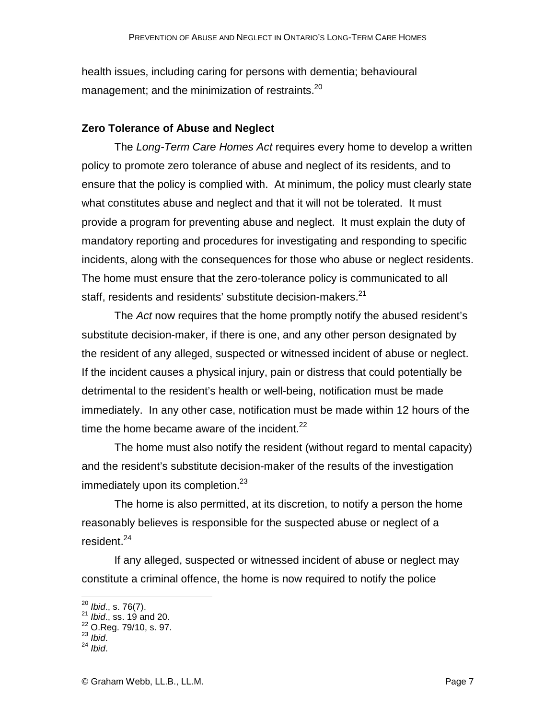health issues, including caring for persons with dementia; behavioural management; and the minimization of restraints.<sup>20</sup>

#### **Zero Tolerance of Abuse and Neglect**

The Long-Term Care Homes Act requires every home to develop a written policy to promote zero tolerance of abuse and neglect of its residents, and to ensure that the policy is complied with. At minimum, the policy must clearly state what constitutes abuse and neglect and that it will not be tolerated. It must provide a program for preventing abuse and neglect. It must explain the duty of mandatory reporting and procedures for investigating and responding to specific incidents, along with the consequences for those who abuse or neglect residents. The home must ensure that the zero-tolerance policy is communicated to all staff, residents and residents' substitute decision-makers.<sup>21</sup>

The Act now requires that the home promptly notify the abused resident's substitute decision-maker, if there is one, and any other person designated by the resident of any alleged, suspected or witnessed incident of abuse or neglect. If the incident causes a physical injury, pain or distress that could potentially be detrimental to the resident's health or well-being, notification must be made immediately. In any other case, notification must be made within 12 hours of the time the home became aware of the incident. $^{22}$ 

The home must also notify the resident (without regard to mental capacity) and the resident's substitute decision-maker of the results of the investigation immediately upon its completion. $23$ 

 The home is also permitted, at its discretion, to notify a person the home reasonably believes is responsible for the suspected abuse or neglect of a resident.<sup>24</sup>

 If any alleged, suspected or witnessed incident of abuse or neglect may constitute a criminal offence, the home is now required to notify the police

<u>.</u>

 $^{20}$  Ibid., s. 76(7).

 $^{21}$  *Ibid.*, ss. 19 and 20.

<sup>22</sup> O.Reg. 79/10, s. 97.

 $23$  *Ibid.* 

 $24$  Ibid.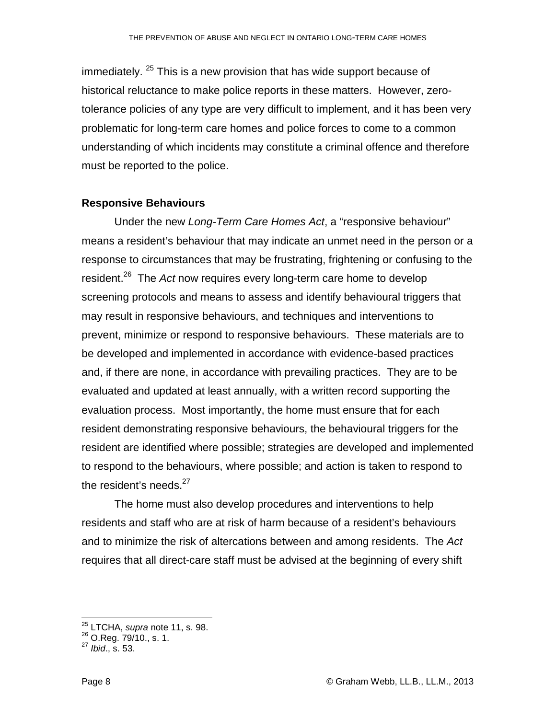immediately. <sup>25</sup> This is a new provision that has wide support because of historical reluctance to make police reports in these matters. However, zerotolerance policies of any type are very difficult to implement, and it has been very problematic for long-term care homes and police forces to come to a common understanding of which incidents may constitute a criminal offence and therefore must be reported to the police.

#### **Responsive Behaviours**

 Under the new Long-Term Care Homes Act, a "responsive behaviour" means a resident's behaviour that may indicate an unmet need in the person or a response to circumstances that may be frustrating, frightening or confusing to the resident.<sup>26</sup> The Act now requires every long-term care home to develop screening protocols and means to assess and identify behavioural triggers that may result in responsive behaviours, and techniques and interventions to prevent, minimize or respond to responsive behaviours. These materials are to be developed and implemented in accordance with evidence-based practices and, if there are none, in accordance with prevailing practices. They are to be evaluated and updated at least annually, with a written record supporting the evaluation process. Most importantly, the home must ensure that for each resident demonstrating responsive behaviours, the behavioural triggers for the resident are identified where possible; strategies are developed and implemented to respond to the behaviours, where possible; and action is taken to respond to the resident's needs. $27$ 

 The home must also develop procedures and interventions to help residents and staff who are at risk of harm because of a resident's behaviours and to minimize the risk of altercations between and among residents. The Act requires that all direct-care staff must be advised at the beginning of every shift

 $\overline{\phantom{a}}$ 

<sup>&</sup>lt;sup>25</sup> LTCHA, supra note 11, s. 98.

 $^{26}$  O.Reg. 79/10., s. 1.

 $^{27}$  Ibid., s. 53.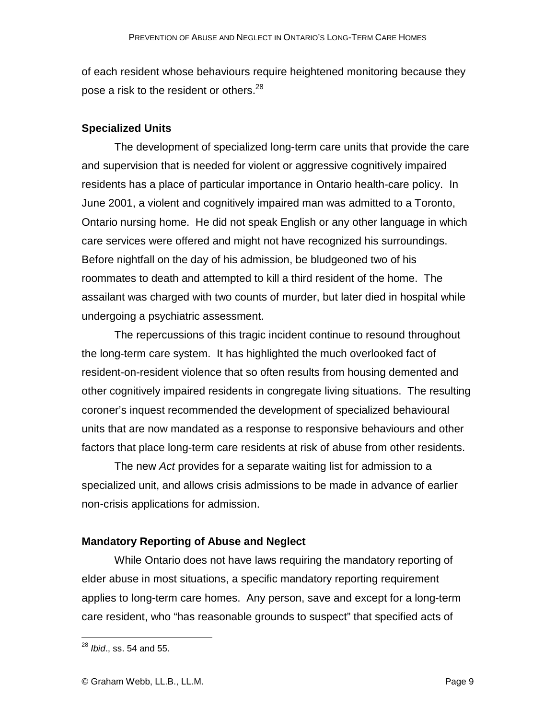of each resident whose behaviours require heightened monitoring because they pose a risk to the resident or others.<sup>28</sup>

## **Specialized Units**

 The development of specialized long-term care units that provide the care and supervision that is needed for violent or aggressive cognitively impaired residents has a place of particular importance in Ontario health-care policy. In June 2001, a violent and cognitively impaired man was admitted to a Toronto, Ontario nursing home. He did not speak English or any other language in which care services were offered and might not have recognized his surroundings. Before nightfall on the day of his admission, be bludgeoned two of his roommates to death and attempted to kill a third resident of the home. The assailant was charged with two counts of murder, but later died in hospital while undergoing a psychiatric assessment.

The repercussions of this tragic incident continue to resound throughout the long-term care system. It has highlighted the much overlooked fact of resident-on-resident violence that so often results from housing demented and other cognitively impaired residents in congregate living situations. The resulting coroner's inquest recommended the development of specialized behavioural units that are now mandated as a response to responsive behaviours and other factors that place long-term care residents at risk of abuse from other residents.

 The new Act provides for a separate waiting list for admission to a specialized unit, and allows crisis admissions to be made in advance of earlier non-crisis applications for admission.

## **Mandatory Reporting of Abuse and Neglect**

 While Ontario does not have laws requiring the mandatory reporting of elder abuse in most situations, a specific mandatory reporting requirement applies to long-term care homes. Any person, save and except for a long-term care resident, who "has reasonable grounds to suspect" that specified acts of

 $\overline{\phantom{a}}$  $^{28}$  *lbid.*, ss. 54 and 55.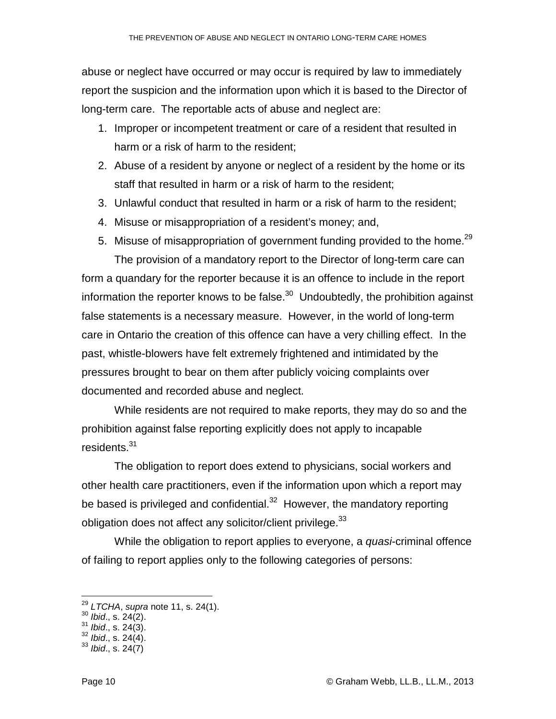abuse or neglect have occurred or may occur is required by law to immediately report the suspicion and the information upon which it is based to the Director of long-term care. The reportable acts of abuse and neglect are:

- 1. Improper or incompetent treatment or care of a resident that resulted in harm or a risk of harm to the resident;
- 2. Abuse of a resident by anyone or neglect of a resident by the home or its staff that resulted in harm or a risk of harm to the resident;
- 3. Unlawful conduct that resulted in harm or a risk of harm to the resident;
- 4. Misuse or misappropriation of a resident's money; and,
- 5. Misuse of misappropriation of government funding provided to the home.<sup>29</sup> The provision of a mandatory report to the Director of long-term care can form a quandary for the reporter because it is an offence to include in the report information the reporter knows to be false. $30$  Undoubtedly, the prohibition against false statements is a necessary measure. However, in the world of long-term care in Ontario the creation of this offence can have a very chilling effect. In the past, whistle-blowers have felt extremely frightened and intimidated by the pressures brought to bear on them after publicly voicing complaints over documented and recorded abuse and neglect.

While residents are not required to make reports, they may do so and the prohibition against false reporting explicitly does not apply to incapable residents.<sup>31</sup>

 The obligation to report does extend to physicians, social workers and other health care practitioners, even if the information upon which a report may be based is privileged and confidential. $32$  However, the mandatory reporting obligation does not affect any solicitor/client privilege.  $33$ 

While the obligation to report applies to everyone, a *quasi*-criminal offence of failing to report applies only to the following categories of persons:

 $\overline{a}$ 

 $^{29}$  LTCHA, supra note 11, s. 24(1).

 $30$  *Ibid.*, s. 24(2).

 $31$  *Ibid.*, s. 24(3).

 $32$  *lbid.*, s. 24(4).

 $33$  *Ibid.*, s. 24(7)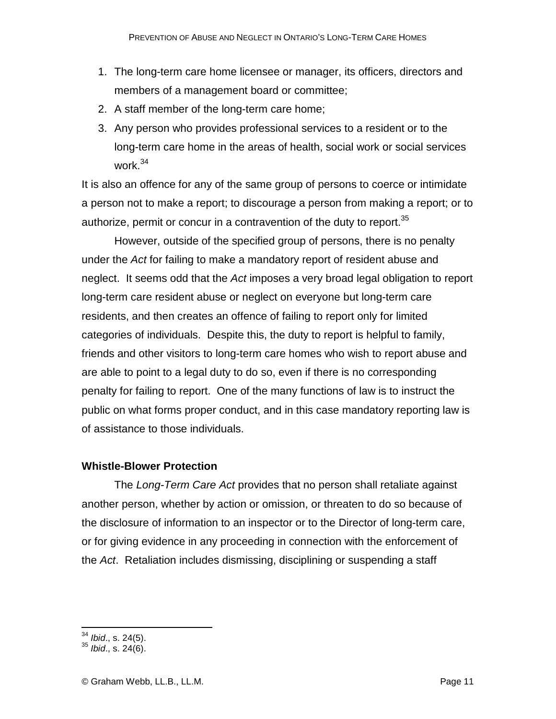- 1. The long-term care home licensee or manager, its officers, directors and members of a management board or committee;
- 2. A staff member of the long-term care home;
- 3. Any person who provides professional services to a resident or to the long-term care home in the areas of health, social work or social services work.<sup>34</sup>

It is also an offence for any of the same group of persons to coerce or intimidate a person not to make a report; to discourage a person from making a report; or to authorize, permit or concur in a contravention of the duty to report.<sup>35</sup>

 However, outside of the specified group of persons, there is no penalty under the Act for failing to make a mandatory report of resident abuse and neglect. It seems odd that the Act imposes a very broad legal obligation to report long-term care resident abuse or neglect on everyone but long-term care residents, and then creates an offence of failing to report only for limited categories of individuals. Despite this, the duty to report is helpful to family, friends and other visitors to long-term care homes who wish to report abuse and are able to point to a legal duty to do so, even if there is no corresponding penalty for failing to report. One of the many functions of law is to instruct the public on what forms proper conduct, and in this case mandatory reporting law is of assistance to those individuals.

# **Whistle-Blower Protection**

The Long-Term Care Act provides that no person shall retaliate against another person, whether by action or omission, or threaten to do so because of the disclosure of information to an inspector or to the Director of long-term care, or for giving evidence in any proceeding in connection with the enforcement of the Act. Retaliation includes dismissing, disciplining or suspending a staff

 $\overline{a}$  $34$  *Ibid.*, s. 24(5).

 $35$  *Ibid.*, s. 24(6).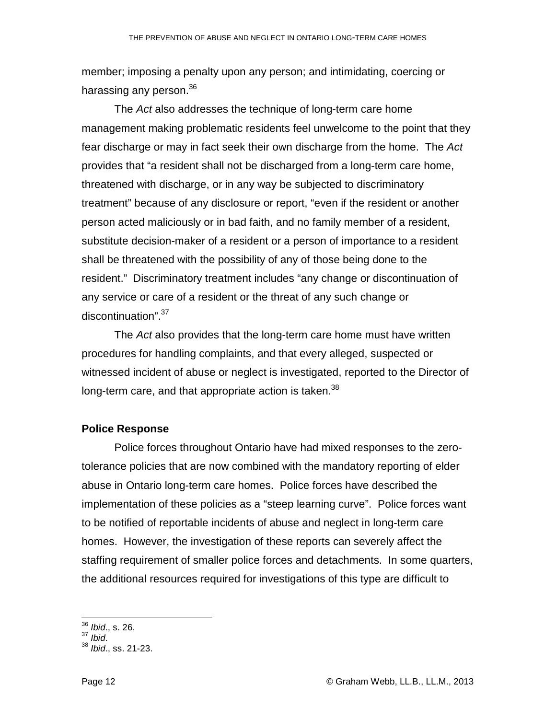member; imposing a penalty upon any person; and intimidating, coercing or harassing any person.<sup>36</sup>

 The Act also addresses the technique of long-term care home management making problematic residents feel unwelcome to the point that they fear discharge or may in fact seek their own discharge from the home. The Act provides that "a resident shall not be discharged from a long-term care home, threatened with discharge, or in any way be subjected to discriminatory treatment" because of any disclosure or report, "even if the resident or another person acted maliciously or in bad faith, and no family member of a resident, substitute decision-maker of a resident or a person of importance to a resident shall be threatened with the possibility of any of those being done to the resident." Discriminatory treatment includes "any change or discontinuation of any service or care of a resident or the threat of any such change or discontinuation".<sup>37</sup>

 The Act also provides that the long-term care home must have written procedures for handling complaints, and that every alleged, suspected or witnessed incident of abuse or neglect is investigated, reported to the Director of long-term care, and that appropriate action is taken.<sup>38</sup>

## **Police Response**

 Police forces throughout Ontario have had mixed responses to the zerotolerance policies that are now combined with the mandatory reporting of elder abuse in Ontario long-term care homes. Police forces have described the implementation of these policies as a "steep learning curve". Police forces want to be notified of reportable incidents of abuse and neglect in long-term care homes. However, the investigation of these reports can severely affect the staffing requirement of smaller police forces and detachments. In some quarters, the additional resources required for investigations of this type are difficult to

 $\overline{a}$  $36$  *Ibid.*, s. 26.

 $37$  Ibid.

<sup>38</sup> Ibid., ss. 21-23.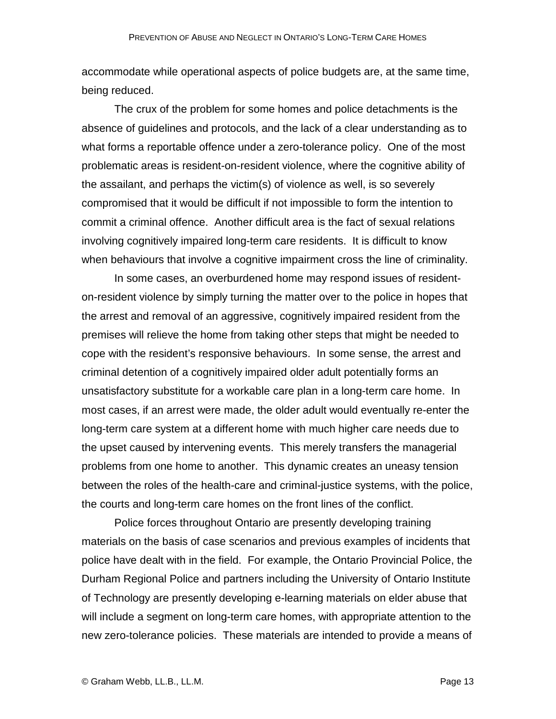accommodate while operational aspects of police budgets are, at the same time, being reduced.

 The crux of the problem for some homes and police detachments is the absence of guidelines and protocols, and the lack of a clear understanding as to what forms a reportable offence under a zero-tolerance policy. One of the most problematic areas is resident-on-resident violence, where the cognitive ability of the assailant, and perhaps the victim(s) of violence as well, is so severely compromised that it would be difficult if not impossible to form the intention to commit a criminal offence. Another difficult area is the fact of sexual relations involving cognitively impaired long-term care residents. It is difficult to know when behaviours that involve a cognitive impairment cross the line of criminality.

In some cases, an overburdened home may respond issues of residenton-resident violence by simply turning the matter over to the police in hopes that the arrest and removal of an aggressive, cognitively impaired resident from the premises will relieve the home from taking other steps that might be needed to cope with the resident's responsive behaviours. In some sense, the arrest and criminal detention of a cognitively impaired older adult potentially forms an unsatisfactory substitute for a workable care plan in a long-term care home. In most cases, if an arrest were made, the older adult would eventually re-enter the long-term care system at a different home with much higher care needs due to the upset caused by intervening events. This merely transfers the managerial problems from one home to another. This dynamic creates an uneasy tension between the roles of the health-care and criminal-justice systems, with the police, the courts and long-term care homes on the front lines of the conflict.

 Police forces throughout Ontario are presently developing training materials on the basis of case scenarios and previous examples of incidents that police have dealt with in the field. For example, the Ontario Provincial Police, the Durham Regional Police and partners including the University of Ontario Institute of Technology are presently developing e-learning materials on elder abuse that will include a segment on long-term care homes, with appropriate attention to the new zero-tolerance policies. These materials are intended to provide a means of